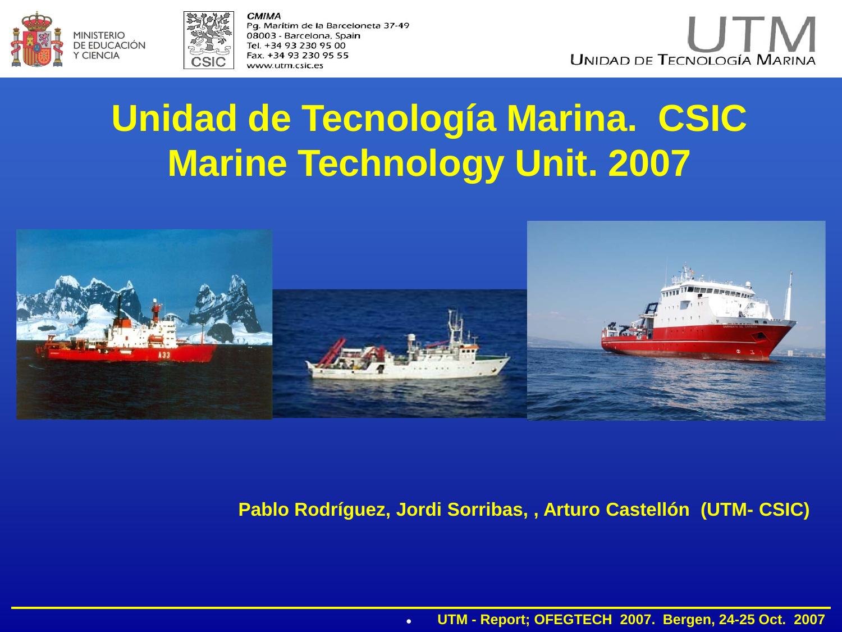



CMIMA Pg. Marítim de la Barceloneta 37-49 08003 - Barcelona, Spain Tel. +34 93 230 95 00 Fax. +34 93 230 95 55 www.utm.csic.es



# **Unidad de Tecnología Marina. CSIC Marine Technology Unit. 2007**



#### **Pablo Rodríguez, Jordi Sorribas, , Arturo Castellón (UTM- CSIC)**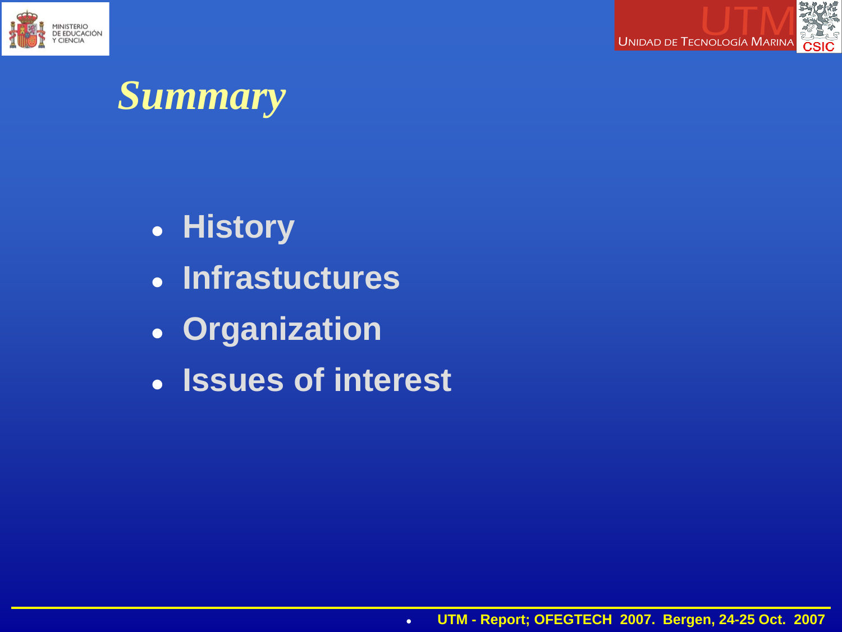



## *Summary*

- **History**
- **Infrastuctures**
- **Organization**
- **Issues of interest**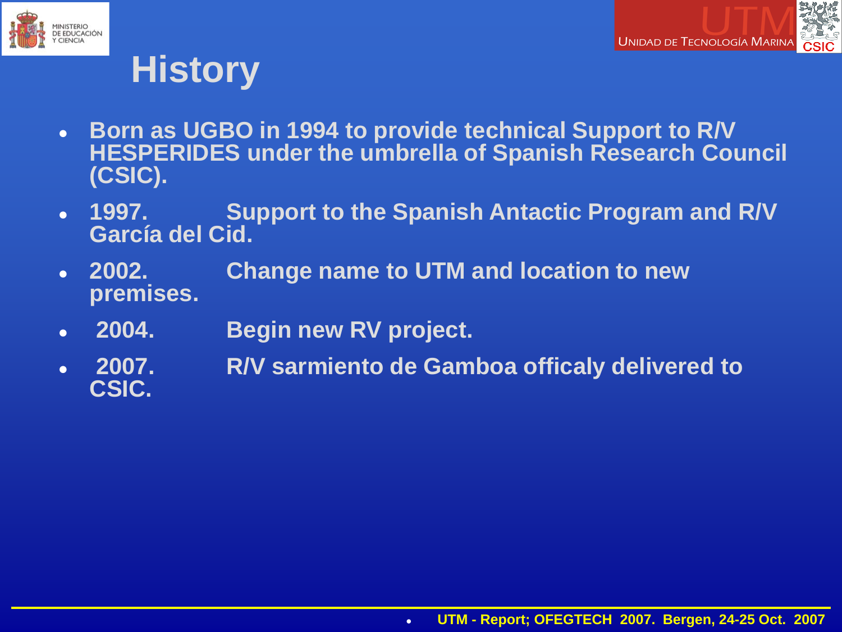



## **History**

- **Born as UGBO in 1994 to provide technical Support to R/V HESPERIDES under the umbrella of Spanish Research Council (CSIC).**
- **1997. Support to the Spanish Antactic Program and R/V García del Cid.**
- **2002. Change name to UTM and location to new premises.**
- **2004. Begin new RV project.**
- **2007. R/V sarmiento de Gamboa officaly delivered to CSIC.**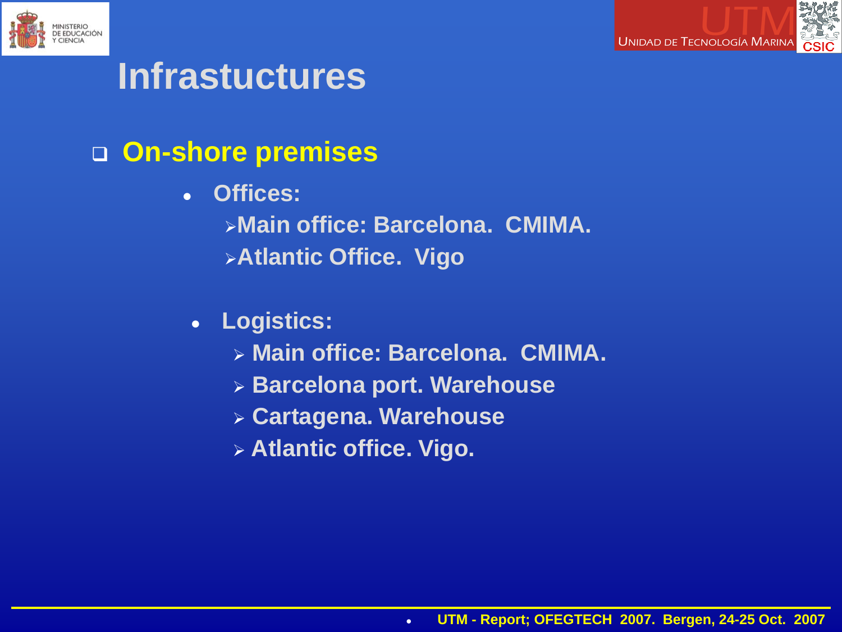



## **Infrastuctures**

- **On-shore premises**
	- **Offices:**
		- **Main office: Barcelona. CMIMA.**
		- **Atlantic Office. Vigo**
	- **Logistics:**
		- **Main office: Barcelona. CMIMA.**
		- **Barcelona port. Warehouse**
		- **Cartagena. Warehouse**
		- **Atlantic office. Vigo.**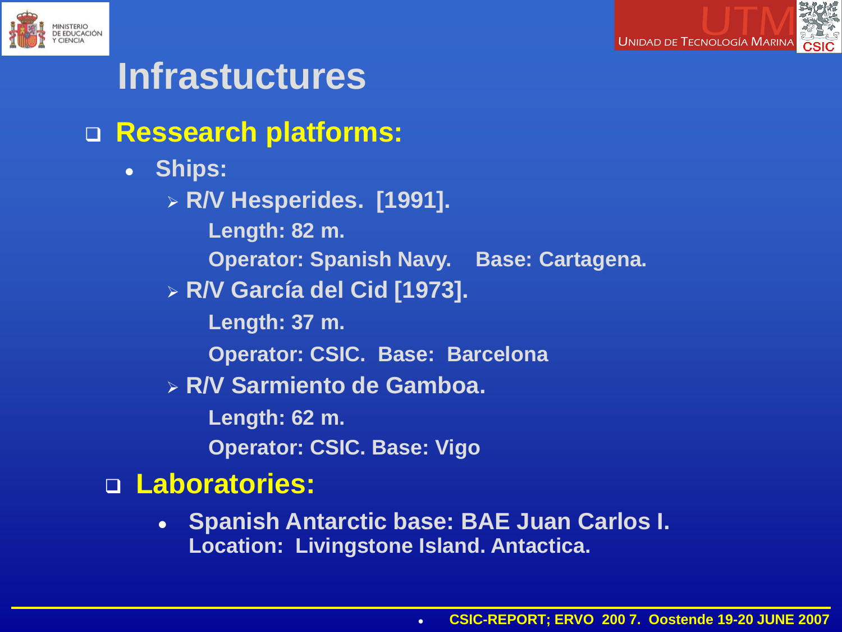



## **Infrastuctures**

## **Ressearch platforms:**

- **Ships:**
	- **R/V Hesperides. [1991]. Length: 82 m.** 
		- **Operator: Spanish Navy. Base: Cartagena.**
	- **R/V García del Cid [1973].** 
		- **Length: 37 m.**
		- **Operator: CSIC. Base: Barcelona**
	- **R/V Sarmiento de Gamboa.**
		- **Length: 62 m.**
		- **Operator: CSIC. Base: Vigo**

## **Laboratories:**

● **Spanish Antarctic base: BAE Juan Carlos I. Location: Livingstone Island. Antactica.**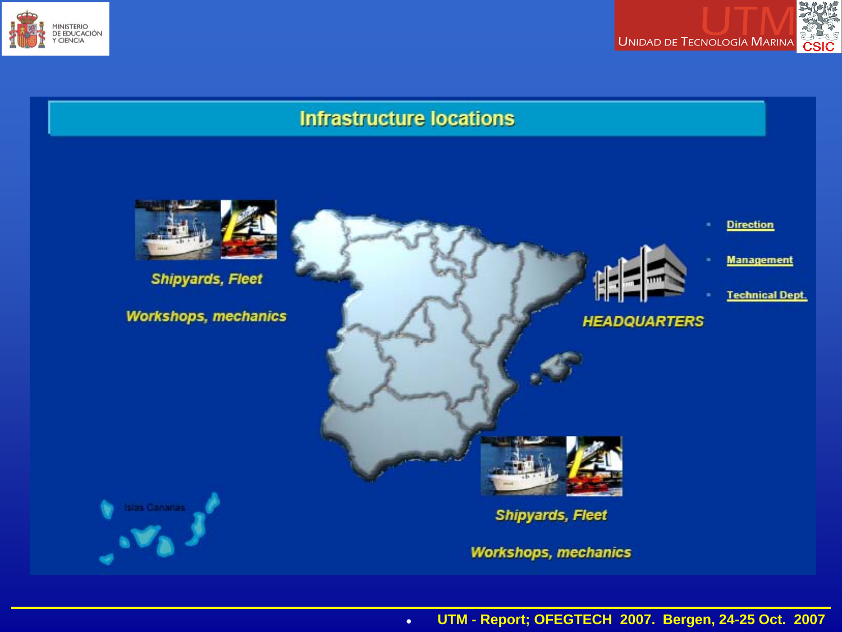



#### **Infrastructure locations**





**Management** 

**Direction** 

**Technical Dept.** 

**HEADQUARTERS** 





**Workshops, mechanics** 

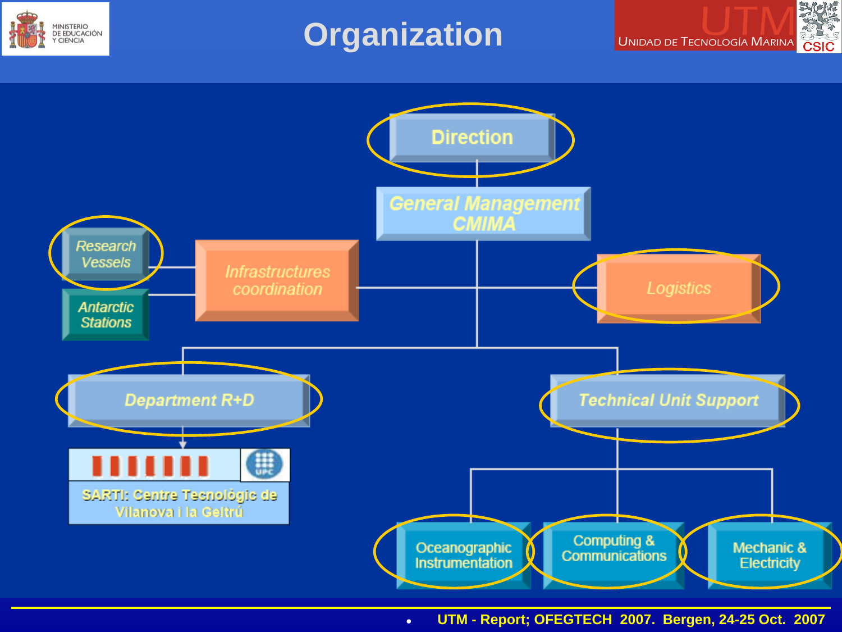

## **Organization**



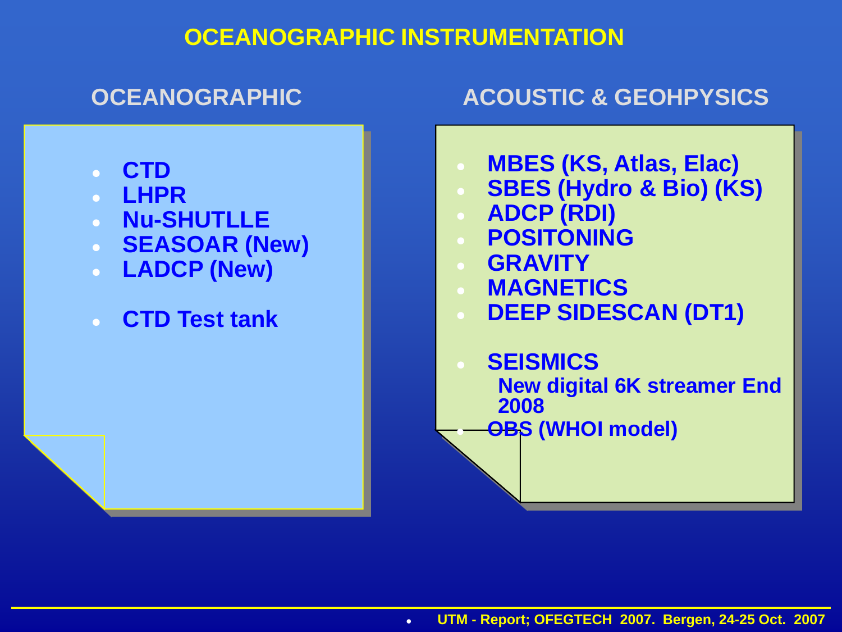#### **OCEANOGRAPHIC INSTRUMENTATION**

#### **OCEANOGRAPHIC ACOUSTIC & GEOHPYSICS**

- **CTD**
- **LHPR**
- **Nu-SHUTLLE**
- **SEASOAR (New)**
- **LADCP (New)**
- **CTD Test tank**
- **MBES (KS, Atlas, Elac)**
- **SBES (Hydro & Bio) (KS)**
- **ADCP (RDI)**
- **POSITONING**
- **GRAVITY**
- **MAGNETICS**
- **DEEP SIDESCAN (DT1)**
- **SEISMICS** 
	- **New digital 6K streamer End 2008**
- **OBS (WHOI model)**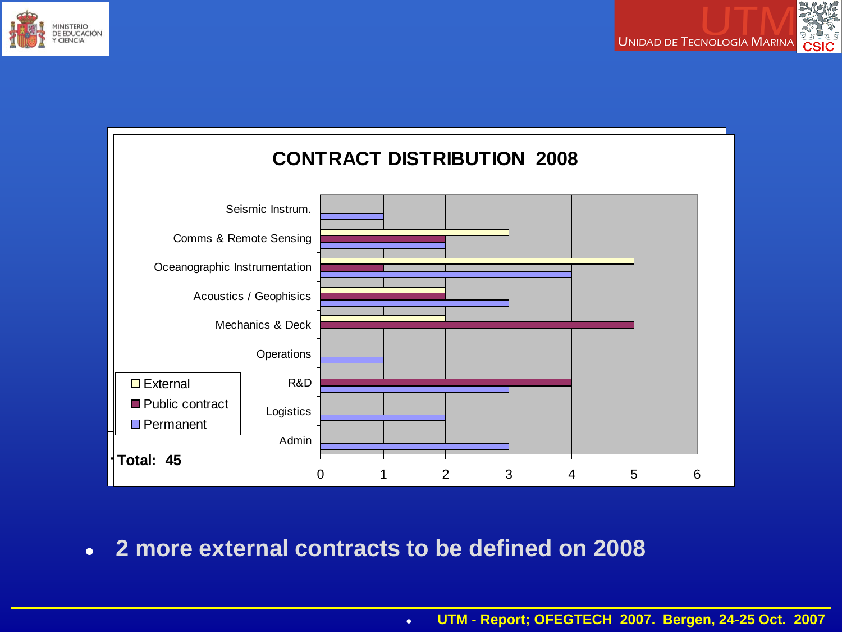





● **2 more external contracts to be defined on 2008**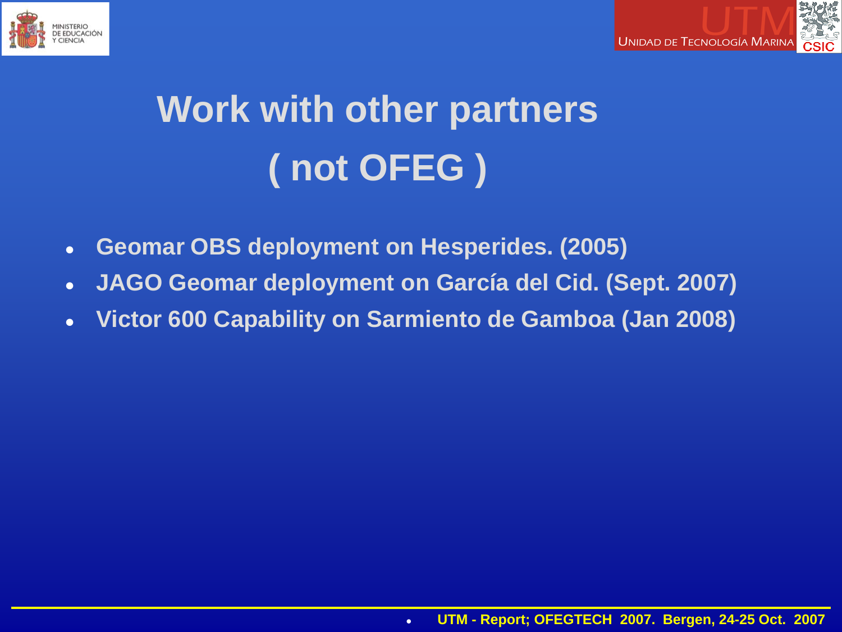



# **Work with other partners ( not OFEG )**

- **Geomar OBS deployment on Hesperides. (2005)**
- **JAGO Geomar deployment on García del Cid. (Sept. 2007)**
- **Victor 600 Capability on Sarmiento de Gamboa (Jan 2008)**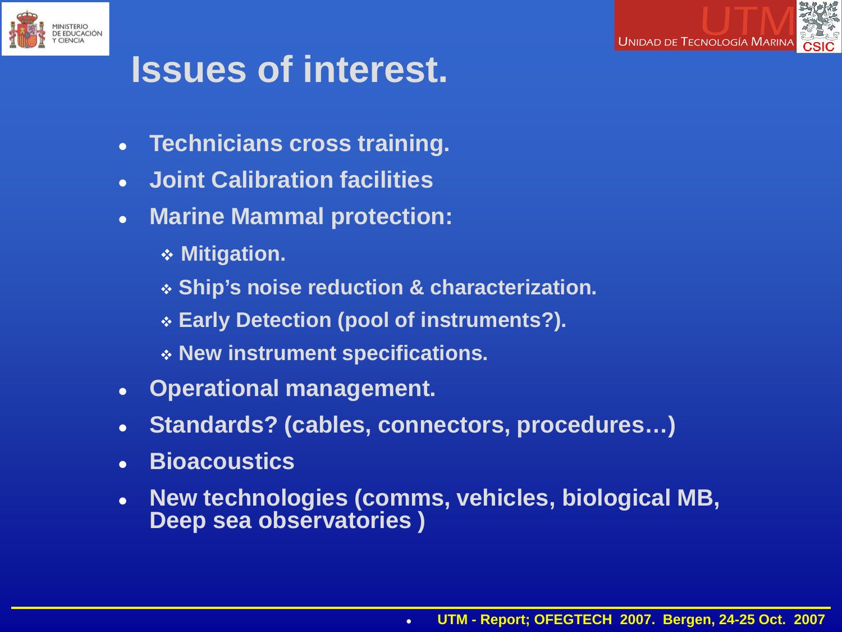



## **Issues of interest.**

- **Technicians cross training.**
- **Joint Calibration facilities**
- **Marine Mammal protection:**
	- **Mitigation.**
	- **Ship's noise reduction & characterization.**
	- **Early Detection (pool of instruments?).**
	- **New instrument specifications.**
- **Operational management.**
- **Standards? (cables, connectors, procedures…)**
- **Bioacoustics**
- **New technologies (comms, vehicles, biological MB, Deep sea observatories )**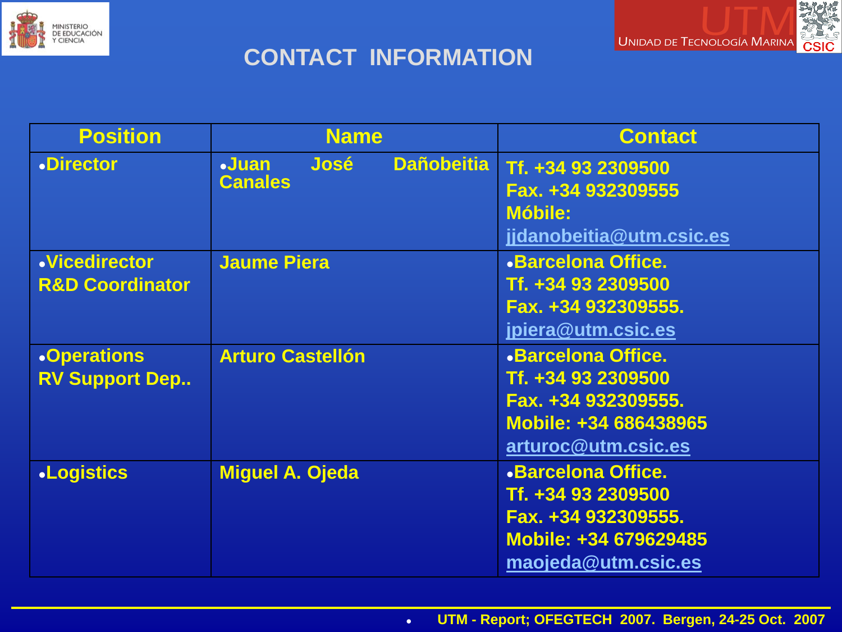



#### **CONTACT INFORMATION**

| <b>Position</b>                                    | <b>Name</b>                                                        | <b>Contact</b>                                                                                                         |
|----------------------------------------------------|--------------------------------------------------------------------|------------------------------------------------------------------------------------------------------------------------|
| <b>.Director</b>                                   | <b>Dañobeitia</b><br><b>José</b><br>$\ddot$ Juan<br><b>Canales</b> | Tf. +34 93 2309500<br>Fax. +34 932309555<br><b>Móbile:</b><br>jjdanobeitia@utm.csic.es                                 |
| <b>.Vicedirector</b><br><b>R&amp;D Coordinator</b> | <b>Jaume Piera</b>                                                 | <b>.Barcelona Office.</b><br>Tf. +34 93 2309500<br>Fax. +34 932309555.<br>jpiera@utm.csic.es                           |
| <b>.Operations</b><br><b>RV Support Dep</b>        | <b>Arturo Castellón</b>                                            | <b>.Barcelona Office.</b><br>Tf. +34 93 2309500<br>Fax. +34 932309555.<br>Mobile: +34 686438965<br>arturoc@utm.csic.es |
| <b>.Logistics</b>                                  | <b>Miguel A. Ojeda</b>                                             | <b>.Barcelona Office.</b><br>Tf. +34 93 2309500<br>Fax. +34 932309555.<br>Mobile: +34 679629485<br>maojeda@utm.csic.es |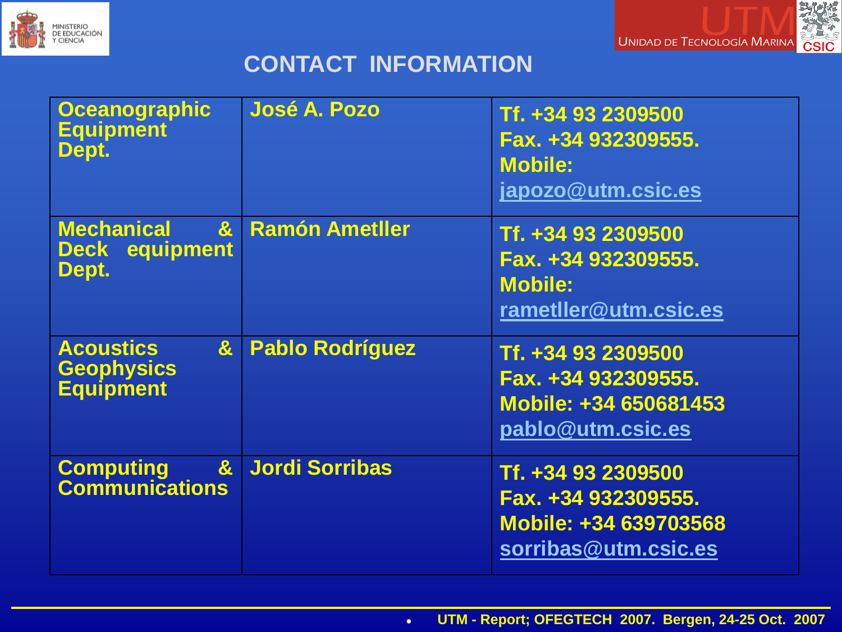



#### **CONTACT INFORMATION**

| <b>Oceanographic</b><br><b>Equipment</b><br>Dept.                         | <b>José A. Pozo</b>    | Tf. +34 93 2309500<br>Fax. +34 932309555.<br><b>Mobile:</b><br>japozo@utm.csic.es          |
|---------------------------------------------------------------------------|------------------------|--------------------------------------------------------------------------------------------|
| <b>Mechanical</b><br>$\mathbf{a}$<br><b>Deck equipment</b><br>Dept.       | <b>Ramón Ametller</b>  | Tf. +34 93 2309500<br>Fax. +34 932309555.<br><b>Mobile:</b><br>rametIler@utm.csic.es       |
| <b>Acoustics</b><br>$\mathbf{g}$<br><b>Geophysics</b><br><b>Equipment</b> | <b>Pablo Rodríguez</b> | Tf. +34 93 2309500<br>Fax. +34 932309555.<br>Mobile: +34 650681453<br>pablo@utm.csic.es    |
| $\mathbf{g}$<br><b>Computing</b><br><b>Communications</b>                 | <b>Jordi Sorribas</b>  | Tf. +34 93 2309500<br>Fax. +34 932309555.<br>Mobile: +34 639703568<br>sorribas@utm.csic.es |